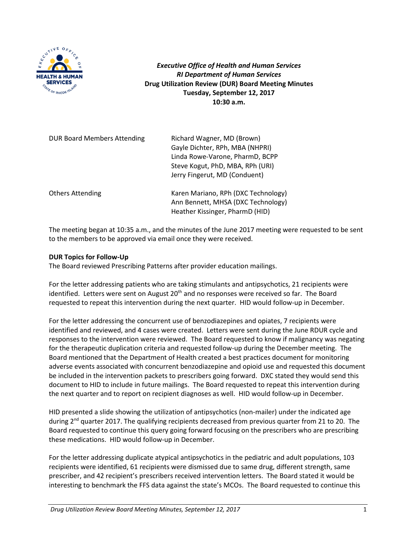

*Executive Office of Health and Human Services RI Department of Human Services* **Drug Utilization Review (DUR) Board Meeting Minutes Tuesday, September 12, 2017 10:30 a.m.**

| <b>DUR Board Members Attending</b> | Richard Wagner, MD (Brown)<br>Gayle Dichter, RPh, MBA (NHPRI)<br>Linda Rowe-Varone, PharmD, BCPP<br>Steve Kogut, PhD, MBA, RPh (URI)<br>Jerry Fingerut, MD (Conduent) |
|------------------------------------|-----------------------------------------------------------------------------------------------------------------------------------------------------------------------|
| <b>Others Attending</b>            | Karen Mariano, RPh (DXC Technology)<br>Ann Bennett, MHSA (DXC Technology)<br>Heather Kissinger, PharmD (HID)                                                          |

The meeting began at 10:35 a.m., and the minutes of the June 2017 meeting were requested to be sent to the members to be approved via email once they were received.

### **DUR Topics for Follow-Up**

The Board reviewed Prescribing Patterns after provider education mailings.

For the letter addressing patients who are taking stimulants and antipsychotics, 21 recipients were identified. Letters were sent on August  $20<sup>th</sup>$  and no responses were received so far. The Board requested to repeat this intervention during the next quarter. HID would follow-up in December.

For the letter addressing the concurrent use of benzodiazepines and opiates, 7 recipients were identified and reviewed, and 4 cases were created. Letters were sent during the June RDUR cycle and responses to the intervention were reviewed. The Board requested to know if malignancy was negating for the therapeutic duplication criteria and requested follow-up during the December meeting. The Board mentioned that the Department of Health created a best practices document for monitoring adverse events associated with concurrent benzodiazepine and opioid use and requested this document be included in the intervention packets to prescribers going forward. DXC stated they would send this document to HID to include in future mailings. The Board requested to repeat this intervention during the next quarter and to report on recipient diagnoses as well. HID would follow-up in December.

HID presented a slide showing the utilization of antipsychotics (non-mailer) under the indicated age during 2<sup>nd</sup> quarter 2017. The qualifying recipients decreased from previous quarter from 21 to 20. The Board requested to continue this query going forward focusing on the prescribers who are prescribing these medications. HID would follow-up in December.

For the letter addressing duplicate atypical antipsychotics in the pediatric and adult populations, 103 recipients were identified, 61 recipients were dismissed due to same drug, different strength, same prescriber, and 42 recipient's prescribers received intervention letters. The Board stated it would be interesting to benchmark the FFS data against the state's MCOs. The Board requested to continue this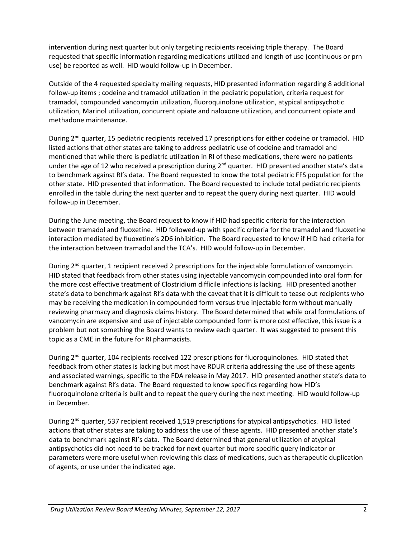intervention during next quarter but only targeting recipients receiving triple therapy. The Board requested that specific information regarding medications utilized and length of use (continuous or prn use) be reported as well. HID would follow-up in December.

Outside of the 4 requested specialty mailing requests, HID presented information regarding 8 additional follow-up items ; codeine and tramadol utilization in the pediatric population, criteria request for tramadol, compounded vancomycin utilization, fluoroquinolone utilization, atypical antipsychotic utilization, Marinol utilization, concurrent opiate and naloxone utilization, and concurrent opiate and methadone maintenance.

During 2<sup>nd</sup> quarter, 15 pediatric recipients received 17 prescriptions for either codeine or tramadol. HID listed actions that other states are taking to address pediatric use of codeine and tramadol and mentioned that while there is pediatric utilization in RI of these medications, there were no patients under the age of 12 who received a prescription during 2<sup>nd</sup> quarter. HID presented another state's data to benchmark against RI's data. The Board requested to know the total pediatric FFS population for the other state. HID presented that information. The Board requested to include total pediatric recipients enrolled in the table during the next quarter and to repeat the query during next quarter. HID would follow-up in December.

During the June meeting, the Board request to know if HID had specific criteria for the interaction between tramadol and fluoxetine. HID followed-up with specific criteria for the tramadol and fluoxetine interaction mediated by fluoxetine's 2D6 inhibition. The Board requested to know if HID had criteria for the interaction between tramadol and the TCA's. HID would follow-up in December.

During 2<sup>nd</sup> quarter, 1 recipient received 2 prescriptions for the injectable formulation of vancomycin. HID stated that feedback from other states using injectable vancomycin compounded into oral form for the more cost effective treatment of Clostridium difficile infections is lacking. HID presented another state's data to benchmark against RI's data with the caveat that it is difficult to tease out recipients who may be receiving the medication in compounded form versus true injectable form without manually reviewing pharmacy and diagnosis claims history. The Board determined that while oral formulations of vancomycin are expensive and use of injectable compounded form is more cost effective, this issue is a problem but not something the Board wants to review each quarter. It was suggested to present this topic as a CME in the future for RI pharmacists.

During 2<sup>nd</sup> quarter, 104 recipients received 122 prescriptions for fluoroquinolones. HID stated that feedback from other states is lacking but most have RDUR criteria addressing the use of these agents and associated warnings, specific to the FDA release in May 2017. HID presented another state's data to benchmark against RI's data. The Board requested to know specifics regarding how HID's fluoroquinolone criteria is built and to repeat the query during the next meeting. HID would follow-up in December.

During 2<sup>nd</sup> quarter, 537 recipient received 1,519 prescriptions for atypical antipsychotics. HID listed actions that other states are taking to address the use of these agents. HID presented another state's data to benchmark against RI's data. The Board determined that general utilization of atypical antipsychotics did not need to be tracked for next quarter but more specific query indicator or parameters were more useful when reviewing this class of medications, such as therapeutic duplication of agents, or use under the indicated age.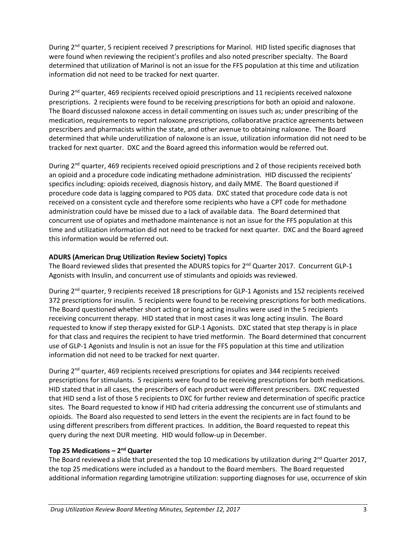During 2<sup>nd</sup> quarter, 5 recipient received 7 prescriptions for Marinol. HID listed specific diagnoses that were found when reviewing the recipient's profiles and also noted prescriber specialty. The Board determined that utilization of Marinol is not an issue for the FFS population at this time and utilization information did not need to be tracked for next quarter.

During 2<sup>nd</sup> quarter, 469 recipients received opioid prescriptions and 11 recipients received naloxone prescriptions. 2 recipients were found to be receiving prescriptions for both an opioid and naloxone. The Board discussed naloxone access in detail commenting on issues such as; under prescribing of the medication, requirements to report naloxone prescriptions, collaborative practice agreements between prescribers and pharmacists within the state, and other avenue to obtaining naloxone. The Board determined that while underutilization of naloxone is an issue, utilization information did not need to be tracked for next quarter. DXC and the Board agreed this information would be referred out.

During 2<sup>nd</sup> quarter, 469 recipients received opioid prescriptions and 2 of those recipients received both an opioid and a procedure code indicating methadone administration. HID discussed the recipients' specifics including: opioids received, diagnosis history, and daily MME. The Board questioned if procedure code data is lagging compared to POS data. DXC stated that procedure code data is not received on a consistent cycle and therefore some recipients who have a CPT code for methadone administration could have be missed due to a lack of available data. The Board determined that concurrent use of opiates and methadone maintenance is not an issue for the FFS population at this time and utilization information did not need to be tracked for next quarter. DXC and the Board agreed this information would be referred out.

## **ADURS (American Drug Utilization Review Society) Topics**

The Board reviewed slides that presented the ADURS topics for 2<sup>nd</sup> Quarter 2017. Concurrent GLP-1 Agonists with Insulin, and concurrent use of stimulants and opioids was reviewed.

During 2<sup>nd</sup> quarter, 9 recipients received 18 prescriptions for GLP-1 Agonists and 152 recipients received 372 prescriptions for insulin. 5 recipients were found to be receiving prescriptions for both medications. The Board questioned whether short acting or long acting insulins were used in the 5 recipients receiving concurrent therapy. HID stated that in most cases it was long acting insulin. The Board requested to know if step therapy existed for GLP-1 Agonists. DXC stated that step therapy is in place for that class and requires the recipient to have tried metformin. The Board determined that concurrent use of GLP-1 Agonists and Insulin is not an issue for the FFS population at this time and utilization information did not need to be tracked for next quarter.

During 2<sup>nd</sup> quarter, 469 recipients received prescriptions for opiates and 344 recipients received prescriptions for stimulants. 5 recipients were found to be receiving prescriptions for both medications. HID stated that in all cases, the prescribers of each product were different prescribers. DXC requested that HID send a list of those 5 recipients to DXC for further review and determination of specific practice sites. The Board requested to know if HID had criteria addressing the concurrent use of stimulants and opioids. The Board also requested to send letters in the event the recipients are in fact found to be using different prescribers from different practices. In addition, the Board requested to repeat this query during the next DUR meeting. HID would follow-up in December.

### **Top 25 Medications – 2nd Quarter**

The Board reviewed a slide that presented the top 10 medications by utilization during  $2^{nd}$  Quarter 2017, the top 25 medications were included as a handout to the Board members. The Board requested additional information regarding lamotrigine utilization: supporting diagnoses for use, occurrence of skin